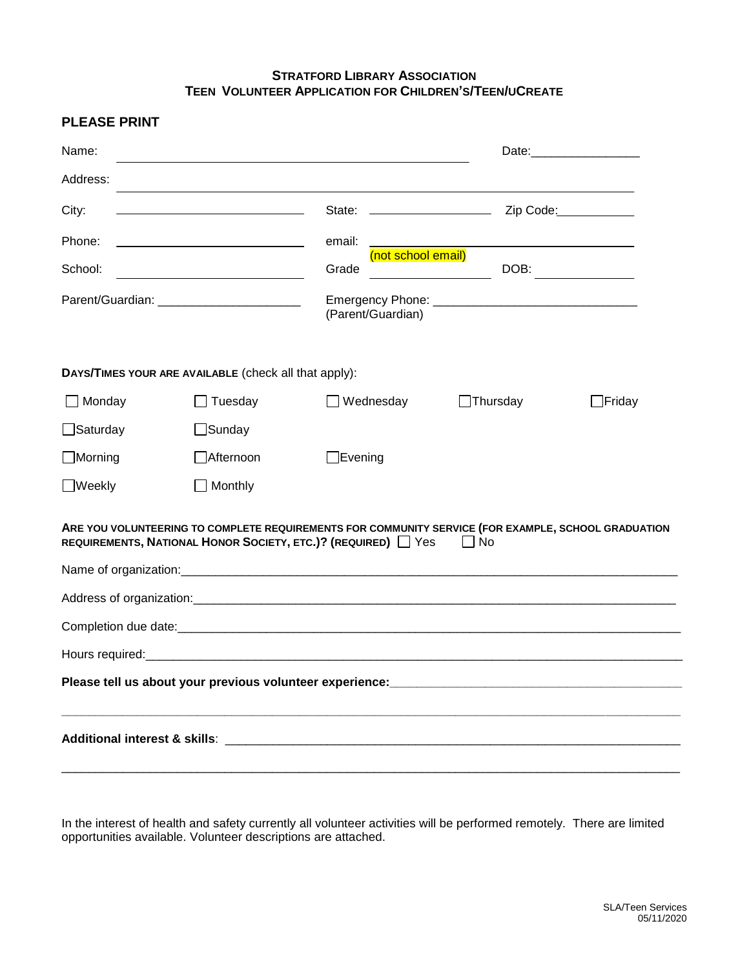## **STRATFORD LIBRARY ASSOCIATION TEEN VOLUNTEER APPLICATION FOR CHILDREN'S/TEEN/UCREATE**

**PLEASE PRINT**

| Name:                                                                                                                                                                       |                                                             |                             |                 | Date: <u>____________________</u> |
|-----------------------------------------------------------------------------------------------------------------------------------------------------------------------------|-------------------------------------------------------------|-----------------------------|-----------------|-----------------------------------|
| Address:                                                                                                                                                                    |                                                             |                             |                 |                                   |
| City:                                                                                                                                                                       | <u> 1989 - Johann Barn, mars ann an t-Amhair ann an t-A</u> |                             |                 |                                   |
| Phone:                                                                                                                                                                      |                                                             | email:                      |                 |                                   |
| School:                                                                                                                                                                     |                                                             | (not school email)<br>Grade | DOB:            |                                   |
|                                                                                                                                                                             |                                                             | (Parent/Guardian)           |                 |                                   |
| DAYS/TIMES YOUR ARE AVAILABLE (check all that apply):                                                                                                                       |                                                             |                             |                 |                                   |
| $\Box$ Monday                                                                                                                                                               | Tuesday                                                     | Wednesday                   | $\Box$ Thursday | $\Box$ Friday                     |
| $\Box$ Saturday                                                                                                                                                             | $\Box$ Sunday                                               |                             |                 |                                   |
| $\Box$ Morning                                                                                                                                                              | Afternoon                                                   | $\Box$ Evening              |                 |                                   |
| $\Box$ Weekly                                                                                                                                                               | Monthly                                                     |                             |                 |                                   |
| ARE YOU VOLUNTEERING TO COMPLETE REQUIREMENTS FOR COMMUNITY SERVICE (FOR EXAMPLE, SCHOOL GRADUATION<br>REQUIREMENTS, NATIONAL HONOR SOCIETY, ETC.)? (REQUIRED)   Yes<br>No. |                                                             |                             |                 |                                   |
|                                                                                                                                                                             |                                                             |                             |                 |                                   |
|                                                                                                                                                                             |                                                             |                             |                 |                                   |
|                                                                                                                                                                             |                                                             |                             |                 |                                   |
|                                                                                                                                                                             |                                                             |                             |                 |                                   |
|                                                                                                                                                                             |                                                             |                             |                 |                                   |
|                                                                                                                                                                             |                                                             |                             |                 |                                   |

In the interest of health and safety currently all volunteer activities will be performed remotely. There are limited opportunities available. Volunteer descriptions are attached.